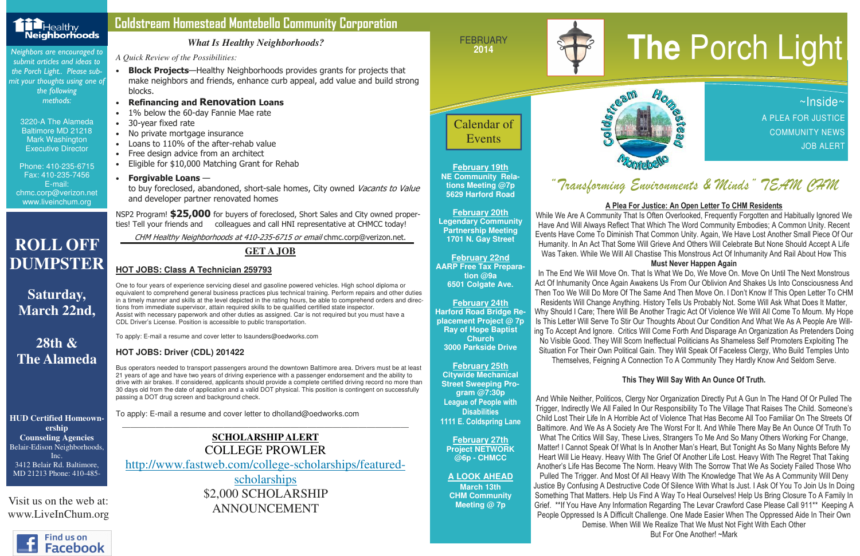FEBRUARY



 the Porch Light.. Please submit your thoughts using one of the following methods:

> 3220-A The Alameda Baltimore MD 21218 Mark Washington Executive Director

Phone: 410-235-6715 Fax: 410-235-7456 E-mail: chmc.corp@verizon.net www.liveinchum.org

**February 19th NE Community Relations Meeting @7p 5629 Harford Road** 

**February 20th Legendary Community Partnership Meeting 1701 N. Gay Street** 

**February 22nd AARP Free Tax Preparation @9a 6501 Colgate Ave.** 

#### **February 24th Harford Road Bridge Replacement Project @ 7p Ray of Hope Baptist Church 3000 Parkside Drive**

**February 25th Citywide Mechanical Street Sweeping Program @7:30p**  League of People with **Disabilities** 1111 E. Coldspring Lane

to buy foreclosed, abandoned, short-sale homes, City owned Vacants to Value and developer partner renovated homes

> **February 27th Project NETWORK @6p - CHMCC**

**A LOOK AHEAD March 13th CHM Community** 

**Meeting @ 7p** 



NSP2 Program! \$25,000 for buyers of foreclosed, Short Sales and City owned properties! Tell your friends and colleagues and call HNI representative at CHMCC today!

## "Transforming Environments & Minds" TEAM CHM

~Inside~ A PLEA FOR JUSTICE COMMUNITY NEWS JOB ALERT

#### Coldstream Homestead Montebello Community Corporation

*A Quick Review of the Possibilities:* 

- Block Projects—Healthy Neighborhoods provides grants for projects that make neighbors and friends, enhance curb appeal, add value and build strong blocks.
- Refinancing and Renovation Loans
- 1% below the 60-day Fannie Mae rate
- 30-year fixed rate
- No private mortgage insurance
- Loans to 110% of the after-rehab value
- Free design advice from an architect
- Eligible for \$10,000 Matching Grant for Rehab
- Forgivable Loans  $-$

CHM Healthy Neighborhoods at 410-235-6715 or email chmc.corp@verizon.net.

#### *What Is Healthy Neighborhoods?*

**HUD Certified Homeownership Counseling Agencies**  Belair-Edison Neighborhoods, Inc. 3412 Belair Rd. Baltimore, MD 21213 Phone: 410-485-

# **2014**<br>Neighbors are encouraged to submit articles and ideas to submit articles and ideas to submit articles and ideas to



Visit us on the web at: www.LiveInChum.org

#### **GET A JOB**

#### **HOT JOBS: Class A Technician 259793**

One to four years of experience servicing diesel and gasoline powered vehicles. High school diploma or equivalent to comprehend general business practices plus technical training. Perform repairs and other duties in a timely manner and skills at the level depicted in the rating hours, be able to comprehend orders and directions from immediate supervisor, attain required skills to be qualified certified state inspector. Assist with necessary paperwork and other duties as assigned. Car is not required but you must have a CDL Driver's License. Position is accessible to public transportation.

To apply: E-mail a resume and cover letter to lsaunders@oedworks.com

#### **HOT JOBS: Driver (CDL) 201422**

Bus operators needed to transport passengers around the downtown Baltimore area. Drivers must be at least 21 years of age and have two years of driving experience with a passenger endorsement and the ability to drive with air brakes. If considered, applicants should provide a complete certified driving record no more than 30 days old from the date of application and a valid DOT physical. This position is contingent on successfully passing a DOT drug screen and background check.

To apply: E-mail a resume and cover letter to dholland@oedworks.com



#### **SCHOLARSHIP ALERT** COLLEGE PROWLER http://www.fastweb.com/college-scholarships/featuredscholarships

 \$2,000 SCHOLARSHIP ANNOUNCEMENT

**ROLL OFF** 

**DUMPSTER** 

**Saturday,** 

**March 22nd,** 

**28th &** 

**The Alameda** 

#### A Plea For Justice: An Open Letter To CHM Residents

 While We Are A Community That Is Often Overlooked, Frequently Forgotten and Habitually Ignored We Have And Will Always Reflect That Which The Word Community Embodies; A Common Unity. Recent Events Have Come To Diminish That Common Unity. Again, We Have Lost Another Small Piece Of Our Humanity. In An Act That Some Will Grieve And Others Will Celebrate But None Should Accept A Life Was Taken. While We Will All Chastise This Monstrous Act Of Inhumanity And Rail About How This

#### Must Never Happen Again

 In The End We Will Move On. That Is What We Do, We Move On. Move On Until The Next Monstrous Act Of Inhumanity Once Again Awakens Us From Our Oblivion And Shakes Us Into Consciousness And Then Too We Will Do More Of The Same And Then Move On. I Don't Know If This Open Letter To CHM Residents Will Change Anything. History Tells Us Probably Not. Some Will Ask What Does It Matter, Why Should I Care; There Will Be Another Tragic Act Of Violence We Will All Come To Mourn. My Hope Is This Letter Will Serve To Stir Our Thoughts About Our Condition And What We As A People Are Willing To Accept And Ignore. Critics Will Come Forth And Disparage An Organization As Pretenders Doing No Visible Good. They Will Scorn Ineffectual Politicians As Shameless Self Promoters Exploiting The Situation For Their Own Political Gain. They Will Speak Of Faceless Clergy, Who Build Temples Unto Themselves, Feigning A Connection To A Community They Hardly Know And Seldom Serve.

#### This They Will Say With An Ounce Of Truth.

And While Neither, Politicos, Clergy Nor Organization Directly Put A Gun In The Hand Of Or Pulled The Trigger, Indirectly We All Failed In Our Responsibility To The Village That Raises The Child. Someone's Child Lost Their Life In A Horrible Act of Violence That Has Become All Too Familiar On The Streets Of Baltimore. And We As A Society Are The Worst For It. And While There May Be An Ounce Of Truth To What The Critics Will Say, These Lives, Strangers To Me And So Many Others Working For Change, Matter! I Cannot Speak Of What Is In Another Man's Heart, But Tonight As So Many Nights Before My Heart Will Lie Heavy. Heavy With The Grief Of Another Life Lost. Heavy With The Regret That Taking Another's Life Has Become The Norm. Heavy With The Sorrow That We As Society Failed Those Who Pulled The Trigger. And Most Of All Heavy With The Knowledge That We As A Community Will Deny Justice By Confusing A Destructive Code Of Silence With What Is Just. I Ask Of You To Join Us In Doing Something That Matters. Help Us Find A Way To Heal Ourselves! Help Us Bring Closure To A Family In Grief. \*\*If You Have Any Information Regarding The Levar Crawford Case Please Call 911\*\* Keeping A People Oppressed Is A Difficult Challenge. One Made Easier When The Oppressed Aide In Their Own Demise. When Will We Realize That We Must Not Fight With Each Other



But For One Another! ~Mark